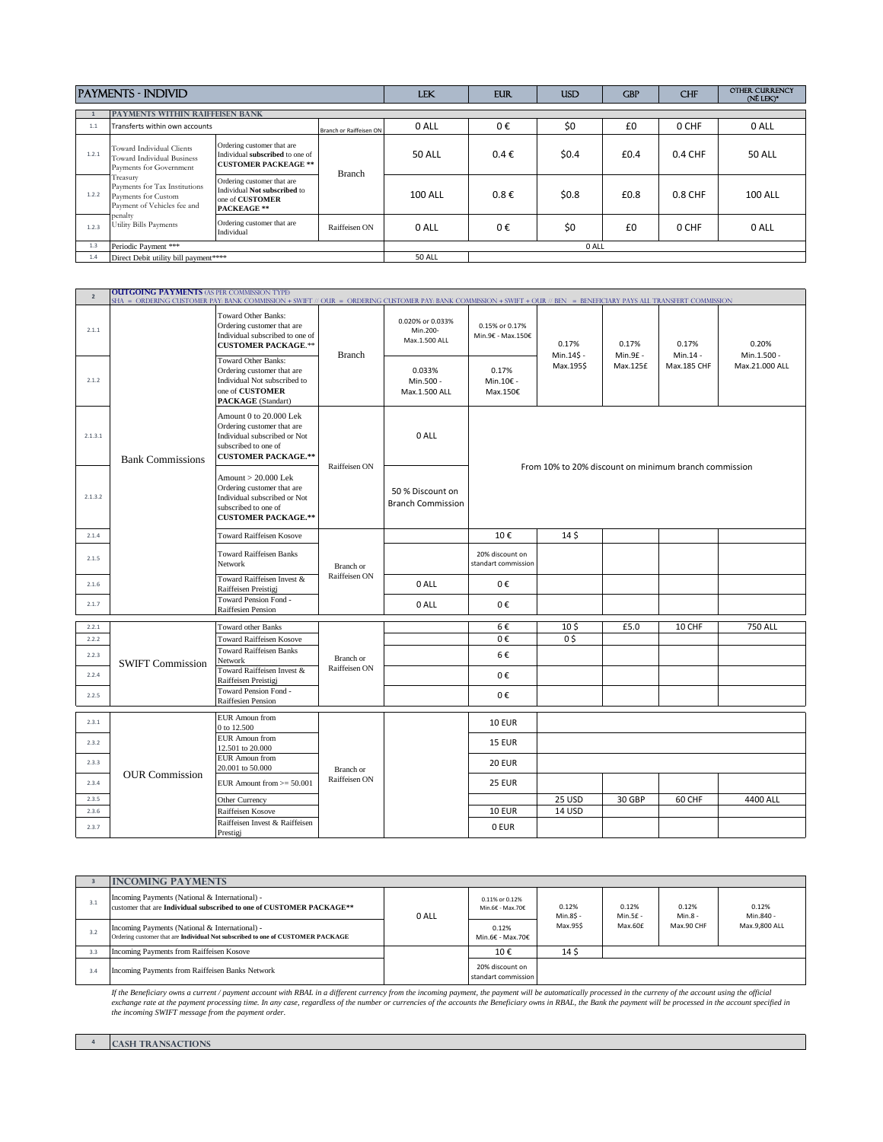|       | <b>PAYMENTS - INDIVID</b>                                                                       |                                                                                                    |                         | <b>LEK</b>     | <b>EUR</b>     | <b>USD</b> | <b>GBP</b> | <b>CHF</b> | <b>OTHER CURRENCY</b><br>(NË LEK)* |
|-------|-------------------------------------------------------------------------------------------------|----------------------------------------------------------------------------------------------------|-------------------------|----------------|----------------|------------|------------|------------|------------------------------------|
|       | PAYMENTS WITHIN RAIFFEISEN BANK                                                                 |                                                                                                    |                         |                |                |            |            |            |                                    |
| 1.1   | Transferts within own accounts                                                                  |                                                                                                    | Branch or Raiffeisen ON | 0 ALL          | 0€             | \$0        | £0         | 0 CHF      | 0 ALL                              |
| 1.2.1 | Toward Individual Clients<br>Toward Individual Business<br>Payments for Government              | Ordering customer that are<br>Individual subscribed to one of<br><b>CUSTOMER PACKEAGE **</b>       |                         | <b>50 ALL</b>  | $0.4 \epsilon$ | \$0.4      | £0.4       | $0.4$ CHF  | <b>50 ALL</b>                      |
| 1.2.2 | Treasury<br>Payments for Tax Institutions<br>Payments for Custom<br>Payment of Vehicles fee and | Ordering customer that are<br>Individual Not subscribed to<br>one of CUSTOMER<br><b>PACKEAGE**</b> | <b>Branch</b>           | <b>100 ALL</b> | $0.8 \in$      | \$0.8\$    | £0.8       | $0.8$ CHF  | <b>100 ALL</b>                     |
| 1.2.3 | penalty<br>Utility Bills Payments                                                               | Ordering customer that are<br>Individual                                                           | Raiffeisen ON           | 0 ALL          | 0€             | \$0        | £0         | 0 CHF      | 0 ALL                              |
| 1.3   | Periodic Payment ***                                                                            |                                                                                                    |                         |                |                | 0 ALL      |            |            |                                    |
| 1.4   | Direct Debit utility bill payment****                                                           |                                                                                                    |                         | <b>50 ALL</b>  |                |            |            |            |                                    |

| $\overline{2}$ | <b>OUTGOING PAYMENTS (AS PER COMMISSION TYPE)</b> | SHA = ORDERING CUSTOMER PAY: BANK COMMISSION + SWIFT // OUR = ORDERING CUSTOMER PAY: BANK COMMISSION + SWIFT + OUR // BEN = BENEFICIARY PAYS ALL TRANSFERT COMMISSION |               |                                               |                                                       |                        |                      |                   |                               |  |
|----------------|---------------------------------------------------|-----------------------------------------------------------------------------------------------------------------------------------------------------------------------|---------------|-----------------------------------------------|-------------------------------------------------------|------------------------|----------------------|-------------------|-------------------------------|--|
| 2.1.1          |                                                   | Toward Other Banks:<br>Ordering customer that are<br>Individual subscribed to one of<br><b>CUSTOMER PACKAGE.**</b>                                                    |               | 0.020% or 0.033%<br>Min.200-<br>Max.1.500 ALL | 0.15% or 0.17%<br>Min.9€ - Max.150€                   | 0.17%                  | 0.17%                | 0.17%<br>Min.14 - | 0.20%                         |  |
| 2.1.2          |                                                   | Toward Other Banks:<br>Ordering customer that are<br>Individual Not subscribed to<br>one of CUSTOMER<br><b>PACKAGE</b> (Standart)                                     | <b>Branch</b> | 0.033%<br>Min.500 -<br>Max.1.500 ALL          | 0.17%<br>Min.10€ -<br>Max.150€                        | Min.14\$-<br>Max.195\$ | Min.9£ -<br>Max.125£ | Max.185 CHF       | Min.1.500 -<br>Max.21.000 ALL |  |
| 2.1.3.1        | <b>Bank Commissions</b>                           | Amount 0 to 20.000 Lek<br>Ordering customer that are<br>Individual subscribed or Not<br>subscribed to one of<br><b>CUSTOMER PACKAGE.**</b>                            |               | 0 ALL                                         |                                                       |                        |                      |                   |                               |  |
| 2.1.3.2        |                                                   | Amount $> 20.000$ Lek<br>Ordering customer that are<br>Individual subscribed or Not<br>subscribed to one of<br><b>CUSTOMER PACKAGE.**</b>                             | Raiffeisen ON | 50 % Discount on<br><b>Branch Commission</b>  | From 10% to 20% discount on minimum branch commission |                        |                      |                   |                               |  |
| 2.1.4          |                                                   | <b>Toward Raiffeisen Kosove</b>                                                                                                                                       |               |                                               | 10€                                                   | 14 <sub>5</sub>        |                      |                   |                               |  |
| 2.1.5          |                                                   | <b>Toward Raiffeisen Banks</b><br>Network                                                                                                                             | Branch or     |                                               | 20% discount on<br>standart commission                |                        |                      |                   |                               |  |
| 2.1.6          |                                                   | Toward Raiffeisen Invest &<br>Raiffeisen Preistigj                                                                                                                    | Raiffeisen ON | 0 ALL                                         | 0€                                                    |                        |                      |                   |                               |  |
| 2.1.7          |                                                   | Toward Pension Fond -<br><b>Raiffesien Pension</b>                                                                                                                    |               | 0 ALL                                         | 0€                                                    |                        |                      |                   |                               |  |
| 2.2.1          |                                                   | Toward other Banks                                                                                                                                                    |               |                                               | 6€                                                    | 10 <sub>5</sub>        | £5.0                 | 10 CHF            | <b>750 ALL</b>                |  |
| 2.2.2          |                                                   | <b>Toward Raiffeisen Kosove</b>                                                                                                                                       |               |                                               | 0€                                                    | 0 <sup>5</sup>         |                      |                   |                               |  |
| 2.2.3          | <b>SWIFT Commission</b>                           | <b>Toward Raiffeisen Banks</b><br>Network                                                                                                                             | Branch or     |                                               | 6€                                                    |                        |                      |                   |                               |  |
| 2.2.4          |                                                   | Toward Raiffeisen Invest &<br>Raiffeisen Preistigj                                                                                                                    | Raiffeisen ON |                                               | 0€                                                    |                        |                      |                   |                               |  |
| 2.2.5          |                                                   | Toward Pension Fond -<br><b>Raiffesien Pension</b>                                                                                                                    |               |                                               | 0€                                                    |                        |                      |                   |                               |  |
| 2.3.1          |                                                   | <b>EUR</b> Amoun from<br>0 to 12.500                                                                                                                                  |               |                                               | <b>10 EUR</b>                                         |                        |                      |                   |                               |  |
| 2.3.2          |                                                   | <b>EUR</b> Amoun from<br>12.501 to 20.000                                                                                                                             |               |                                               | <b>15 EUR</b>                                         |                        |                      |                   |                               |  |
| 2.3.3          |                                                   | <b>EUR</b> Amoun from<br>20.001 to 50.000                                                                                                                             | Branch or     |                                               | <b>20 EUR</b>                                         |                        |                      |                   |                               |  |
| 2.3.4          | <b>OUR Commission</b>                             | EUR Amount from $>= 50.001$                                                                                                                                           | Raiffeisen ON |                                               | <b>25 EUR</b>                                         |                        |                      |                   |                               |  |
| 2.3.5          |                                                   | Other Currency                                                                                                                                                        |               |                                               |                                                       | 25 USD                 | 30 GBP               | 60 CHF            | 4400 ALL                      |  |
| 2.3.6          |                                                   | Raiffeisen Kosove                                                                                                                                                     |               |                                               | <b>10 EUR</b>                                         | 14 USD                 |                      |                   |                               |  |
| 2.3.7          |                                                   | Raiffeisen Invest & Raiffeisen<br>Prestigi                                                                                                                            |               |                                               | 0 EUR                                                 |                        |                      |                   |                               |  |

|     | <b>INCOMING PAYMENTS</b>                                                                                                          |       |                                        |                    |                 |                  |                    |
|-----|-----------------------------------------------------------------------------------------------------------------------------------|-------|----------------------------------------|--------------------|-----------------|------------------|--------------------|
| 3.1 | Incoming Payments (National & International) -<br>customer that are Individual subscribed to one of CUSTOMER PACKAGE**            | 0 ALL | 0.11% or 0.12%<br>Min.6€ - Max.70€     | 0.12%<br>Min.8\$ - | 0.12%<br>Min.5£ | 0.12%<br>Min.8 - | 0.12%<br>Min.840 - |
| 3.2 | Incoming Payments (National & International) -<br>Ordering customer that are Individual Not subscribed to one of CUSTOMER PACKAGE |       | 0.12%<br>Min.6€ - Max.70€              | Max.95\$           | Max.60£         | Max.90 CHF       | Max.9.800 ALL      |
| 3.3 | Incoming Payments from Raiffeisen Kosove                                                                                          |       | 10€                                    | 14S                |                 |                  |                    |
| 3.4 | Incoming Payments from Raiffeisen Banks Network                                                                                   |       | 20% discount on<br>standart commission |                    |                 |                  |                    |

If the Beneficiary owns a current / payment account with RBAL in a different currency from the incoming payment, the payment will be automatically processed in the curreny of the account using the official<br>exchange rate at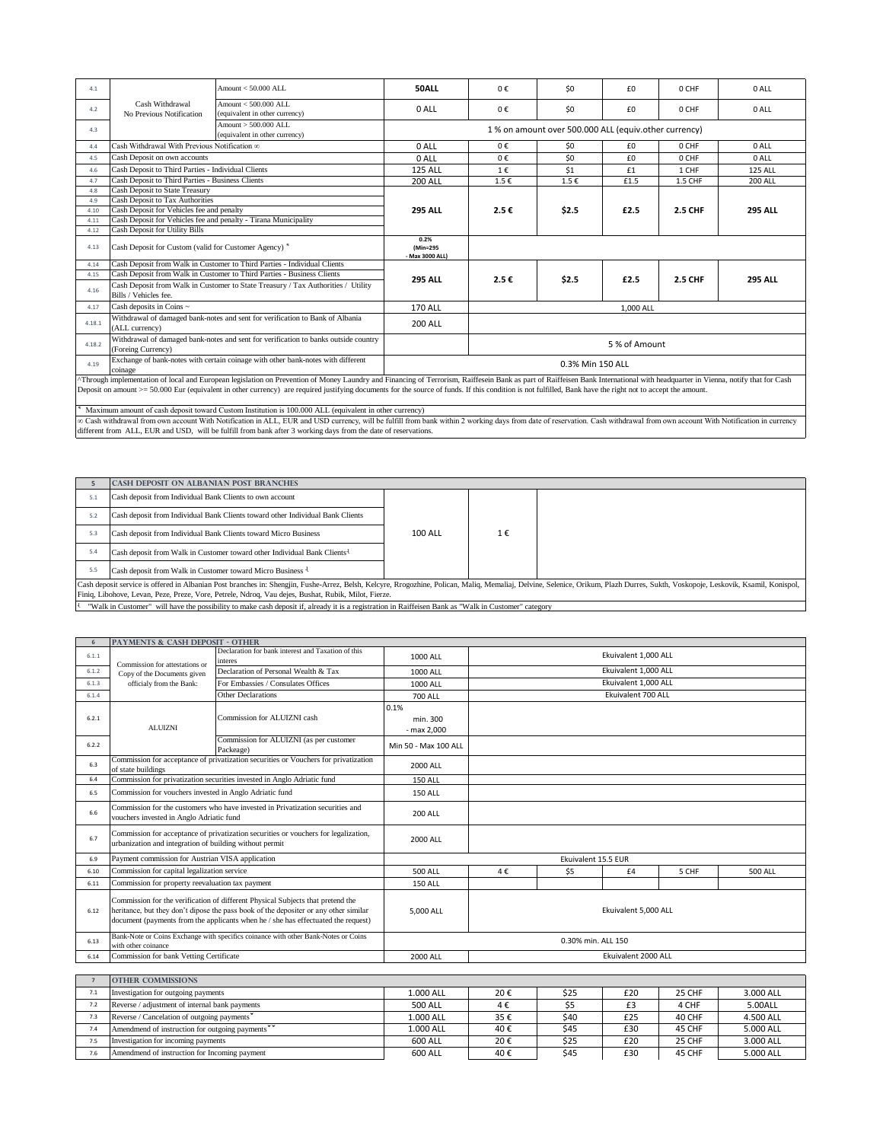| 4.1    |                                                                                                       | Amount $< 50,000$ ALL                                                                                                                                                                                                          | 50ALL                       | $0 \in$ | \$0                                                  | f(0)          | 0 CHF          | 0 ALL          |
|--------|-------------------------------------------------------------------------------------------------------|--------------------------------------------------------------------------------------------------------------------------------------------------------------------------------------------------------------------------------|-----------------------------|---------|------------------------------------------------------|---------------|----------------|----------------|
| 4.2    | Amount < 500,000 ALL<br>Cash Withdrawal<br>No Previous Notification<br>(equivalent in other currency) |                                                                                                                                                                                                                                | 0 ALL                       | 0€      | \$0                                                  | £0            | 0 CHF          | 0 ALL          |
| 4.3    |                                                                                                       | Amount > 500,000 ALL<br>(equivalent in other currency)                                                                                                                                                                         |                             |         | 1% on amount over 500.000 ALL (equiv.other currency) |               |                |                |
| 4.4    | Cash Withdrawal With Previous Notification of                                                         |                                                                                                                                                                                                                                | 0 ALL                       | 0€      | \$0                                                  | £0            | 0 CHF          | 0 ALL          |
| 4.5    | Cash Deposit on own accounts                                                                          |                                                                                                                                                                                                                                | 0 ALL                       | 0€      | \$0                                                  | £0            | 0 CHF          | 0 ALL          |
| 4.6    | Cash Deposit to Third Parties - Individual Clients                                                    |                                                                                                                                                                                                                                | <b>125 ALL</b>              | 1€      | \$1                                                  | £1            | 1 CHF          | <b>125 ALL</b> |
| 4.7    | Cash Deposit to Third Parties - Business Clients                                                      |                                                                                                                                                                                                                                | <b>200 ALL</b>              | 1.5€    | 1.5€                                                 | £1.5          | 1.5 CHF        | 200 ALL        |
| 4.8    | Cash Deposit to State Treasury                                                                        |                                                                                                                                                                                                                                |                             |         |                                                      |               |                |                |
| 4.9    | Cash Deposit to Tax Authorities                                                                       |                                                                                                                                                                                                                                |                             |         |                                                      |               |                |                |
| 4.10   | Cash Deposit for Vehicles fee and penalty                                                             |                                                                                                                                                                                                                                | <b>295 ALL</b>              | 2.5€    | \$2.5                                                | £2.5          | <b>2.5 CHF</b> | <b>295 ALL</b> |
| 4.11   | Cash Deposit for Vehicles fee and penalty - Tirana Municipality                                       |                                                                                                                                                                                                                                |                             |         |                                                      |               |                |                |
| 4.12   | Cash Deposit for Utility Bills                                                                        |                                                                                                                                                                                                                                | 0.2%                        |         |                                                      |               |                |                |
| 4.13   | Cash Deposit for Custom (valid for Customer Agency) <sup>*</sup>                                      |                                                                                                                                                                                                                                | (Min=295<br>- Max 3000 ALL) |         |                                                      |               |                |                |
| 4.14   |                                                                                                       | Cash Deposit from Walk in Customer to Third Parties - Individual Clients                                                                                                                                                       |                             |         |                                                      |               |                |                |
| 4.15   |                                                                                                       | Cash Deposit from Walk in Customer to Third Parties - Business Clients                                                                                                                                                         | <b>295 ALL</b>              | 2.5€    | \$2.5                                                | £2.5          | <b>2.5 CHF</b> | <b>295 ALL</b> |
| 4.16   | Bills / Vehicles fee.                                                                                 | Cash Deposit from Walk in Customer to State Treasury / Tax Authorities / Utility                                                                                                                                               |                             |         |                                                      |               |                |                |
| 4.17   | Cash deposits in Coins ~                                                                              |                                                                                                                                                                                                                                | <b>170 ALL</b>              |         |                                                      | 1,000 ALL     |                |                |
| 4.18.1 | (ALL currency)                                                                                        | Withdrawal of damaged bank-notes and sent for verification to Bank of Albania                                                                                                                                                  | <b>200 ALL</b>              |         |                                                      |               |                |                |
| 4.18.2 | (Foreing Currency)                                                                                    | Withdrawal of damaged bank-notes and sent for verification to banks outside country                                                                                                                                            |                             |         |                                                      | 5 % of Amount |                |                |
| 4.19   | coinage                                                                                               | Exchange of bank-notes with certain coinage with other bank-notes with different                                                                                                                                               |                             |         | 0.3% Min 150 ALL                                     |               |                |                |
|        |                                                                                                       | "Through implementation of local and European legislation on Prevention of Money Laundry and Financing of Terrorism, Raiffesein Bank as part of Raiffeisen Bank International with headquarter in Vienna, notify that for Cash |                             |         |                                                      |               |                |                |
|        |                                                                                                       | Deposit on amount $>= 50.000$ Eur (equivalent in other currency) are required justifying documents for the source of funds. If this condition is not fulfilled, Bank have the right not to accept the amount.                  |                             |         |                                                      |               |                |                |
|        |                                                                                                       | Maximum amount of cash deposit toward Custom Institution is 100.000 ALL (equivalent in other currency)                                                                                                                         |                             |         |                                                      |               |                |                |
|        |                                                                                                       | oc Cash withdrawal from own account With Notification in ALL, EUR and USD currency, will be fulfill from bank within 2 working days from date of reservation. Cash withdrawal from own account With Notification in currency   |                             |         |                                                      |               |                |                |
|        |                                                                                                       | different from ALL, EUR and USD, will be fulfill from bank after 3 working days from the date of reservations.                                                                                                                 |                             |         |                                                      |               |                |                |

|     | <b>CASH DEPOSIT ON ALBANIAN POST BRANCHES</b>                                                                                                                                                                                                                                                                                         |         |    |  |
|-----|---------------------------------------------------------------------------------------------------------------------------------------------------------------------------------------------------------------------------------------------------------------------------------------------------------------------------------------|---------|----|--|
| 5.1 | Cash deposit from Individual Bank Clients to own account                                                                                                                                                                                                                                                                              |         |    |  |
| 5.2 | Cash deposit from Individual Bank Clients toward other Individual Bank Clients                                                                                                                                                                                                                                                        |         |    |  |
| 5.3 | Cash deposit from Individual Bank Clients toward Micro Business                                                                                                                                                                                                                                                                       | 100 ALL | 1€ |  |
| 5.4 | Cash deposit from Walk in Customer toward other Individual Bank Clients <sup>1</sup>                                                                                                                                                                                                                                                  |         |    |  |
| 5.5 | Cash deposit from Walk in Customer toward Micro Business <sup>4</sup>                                                                                                                                                                                                                                                                 |         |    |  |
|     | Cash deposit service is offered in Albanian Post branches in: Shengjin, Fushe-Arrez, Belsh, Kelcyre, Rrogozhine, Polican, Maliq, Memaliaj, Delvine, Selenice, Orikum, Plazh Durres, Sukth, Voskopoje, Leskovik, Ksamil, Konisp<br>Finiq, Libohove, Levan, Peze, Preze, Vore, Petrele, Ndroq, Vau dejes, Bushat, Rubik, Milot, Fierze. |         |    |  |
|     |                                                                                                                                                                                                                                                                                                                                       |         |    |  |

ʵ "Walk in Customer" will have the possibility to make cash deposit if, already it is a registration in Raiffeisen Bank as "Walk in Customer" category

| $6\phantom{1}6$ | <b>PAYMENTS &amp; CASH DEPOSIT - OTHER</b>                                                                                 |                                                                                                                                                                                                                                                              |                      |                      |                     |                      |        |           |  |
|-----------------|----------------------------------------------------------------------------------------------------------------------------|--------------------------------------------------------------------------------------------------------------------------------------------------------------------------------------------------------------------------------------------------------------|----------------------|----------------------|---------------------|----------------------|--------|-----------|--|
| 6.1.1           | Commission for attestations or                                                                                             | Declaration for bank interest and Taxation of this<br>interes                                                                                                                                                                                                | 1000 ALL             | Ekuivalent 1,000 ALL |                     |                      |        |           |  |
| 6.1.2           | Copy of the Documents given                                                                                                | Declaration of Personal Wealth & Tax                                                                                                                                                                                                                         | 1000 ALL             |                      |                     | Ekuivalent 1,000 ALL |        |           |  |
| 6.1.3           | officialy from the Bank:                                                                                                   | For Embassies / Consulates Offices                                                                                                                                                                                                                           | 1000 ALL             |                      |                     | Ekuivalent 1,000 ALL |        |           |  |
| 6.1.4           |                                                                                                                            | <b>Other Declarations</b>                                                                                                                                                                                                                                    | 700 ALL              |                      |                     | Ekuivalent 700 ALL   |        |           |  |
|                 |                                                                                                                            |                                                                                                                                                                                                                                                              | 0.1%                 |                      |                     |                      |        |           |  |
| 6.2.1           |                                                                                                                            | Commission for ALUIZNI cash                                                                                                                                                                                                                                  | min. 300             |                      |                     |                      |        |           |  |
|                 | <b>ALUIZNI</b>                                                                                                             |                                                                                                                                                                                                                                                              | - max 2,000          |                      |                     |                      |        |           |  |
| 6.2.2           |                                                                                                                            | Commission for ALUIZNI (as per customer<br>Packeage)                                                                                                                                                                                                         | Min 50 - Max 100 ALL |                      |                     |                      |        |           |  |
| 6.3             | of state buildings                                                                                                         | Commission for acceptance of privatization securities or Vouchers for privatization                                                                                                                                                                          | 2000 ALL             |                      |                     |                      |        |           |  |
| 6.4             |                                                                                                                            | Commission for privatization securities invested in Anglo Adriatic fund                                                                                                                                                                                      | <b>150 ALL</b>       |                      |                     |                      |        |           |  |
| 6.5             | Commission for vouchers invested in Anglo Adriatic fund                                                                    |                                                                                                                                                                                                                                                              | 150 ALL              |                      |                     |                      |        |           |  |
| 6.6             | Commission for the customers who have invested in Privatization securities and<br>vouchers invested in Anglo Adriatic fund |                                                                                                                                                                                                                                                              | <b>200 ALL</b>       |                      |                     |                      |        |           |  |
| 6.7             | urbanization and integration of building without permit                                                                    | Commission for acceptance of privatization securities or vouchers for legalization,                                                                                                                                                                          | 2000 ALL             |                      |                     |                      |        |           |  |
| 6.9             | Payment commission for Austrian VISA application                                                                           |                                                                                                                                                                                                                                                              |                      |                      | Ekuivalent 15.5 EUR |                      |        |           |  |
| 6.10            | Commission for capital legalization service                                                                                |                                                                                                                                                                                                                                                              | <b>500 ALL</b>       | 4€                   | \$5                 | £4                   | 5 CHF  | 500 ALL   |  |
| 6.11            | Commission for property reevaluation tax payment                                                                           |                                                                                                                                                                                                                                                              | <b>150 ALL</b>       |                      |                     |                      |        |           |  |
| 6.12            |                                                                                                                            | Commission for the verification of different Physical Subjects that pretend the<br>heritance, but they don't dipose the pass book of the depositer or any other similar<br>document (payments from the applicants when he / she has effectuated the request) |                      | Ekuivalent 5,000 ALL |                     |                      |        |           |  |
| 6.13            | with other coinance                                                                                                        | Bank-Note or Coins Exchange with specifics coinance with other Bank-Notes or Coins                                                                                                                                                                           |                      |                      | 0.30% min. ALL 150  |                      |        |           |  |
| 6.14            | Commission for bank Vetting Certificate                                                                                    |                                                                                                                                                                                                                                                              | 2000 ALL             |                      |                     | Ekuivalent 2000 ALL  |        |           |  |
|                 |                                                                                                                            |                                                                                                                                                                                                                                                              |                      |                      |                     |                      |        |           |  |
| $\overline{7}$  | <b>OTHER COMMISSIONS</b>                                                                                                   |                                                                                                                                                                                                                                                              |                      |                      |                     |                      |        |           |  |
| 7.1             | Investigation for outgoing payments                                                                                        |                                                                                                                                                                                                                                                              | 1.000 ALL            | 20€                  | \$25                | £20                  | 25 CHF | 3.000 ALL |  |
| 7.2             | Reverse / adjustment of internal bank payments                                                                             |                                                                                                                                                                                                                                                              | <b>500 ALL</b>       | 4€                   | \$5                 | £3                   | 4 CHF  | 5.00ALL   |  |
| 7.3             | Reverse / Cancelation of outgoing payments                                                                                 |                                                                                                                                                                                                                                                              | 1.000 ALL            | 35€                  | \$40                | £25                  | 40 CHF | 4.500 ALL |  |
| 7.4             | Amendmend of instruction for outgoing payments                                                                             |                                                                                                                                                                                                                                                              | 1.000 ALL            | 40€                  | \$45                | £30                  | 45 CHF | 5.000 ALL |  |
| 7.5             | Investigation for incoming payments                                                                                        |                                                                                                                                                                                                                                                              | 600 ALL              | 20€                  | \$25                | £20                  | 25 CHF | 3.000 ALL |  |
| 7.6             | Amendmend of instruction for Incoming payment                                                                              |                                                                                                                                                                                                                                                              | 600 ALL              | 40€                  | \$45                | £30                  | 45 CHF | 5.000 ALL |  |